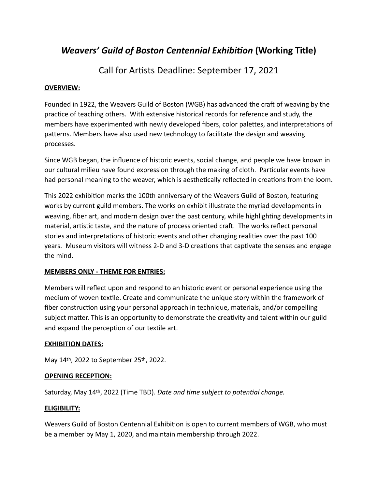# *Weavers'* Guild of Boston Centennial Exhibition (Working Title)

Call for Artists Deadline: September 17, 2021

## **OVERVIEW:**

Founded in 1922, the Weavers Guild of Boston (WGB) has advanced the craft of weaving by the practice of teaching others. With extensive historical records for reference and study, the members have experimented with newly developed fibers, color palettes, and interpretations of patterns. Members have also used new technology to facilitate the design and weaving processes. 

Since WGB began, the influence of historic events, social change, and people we have known in our cultural milieu have found expression through the making of cloth. Particular events have had personal meaning to the weaver, which is aesthetically reflected in creations from the loom.

This 2022 exhibition marks the 100th anniversary of the Weavers Guild of Boston, featuring works by current guild members. The works on exhibit illustrate the myriad developments in weaving, fiber art, and modern design over the past century, while highlighting developments in material, artistic taste, and the nature of process oriented craft. The works reflect personal stories and interpretations of historic events and other changing realities over the past 100 years. Museum visitors will witness 2-D and 3-D creations that captivate the senses and engage the mind.

## **MEMBERS ONLY - THEME FOR ENTRIES:**

Members will reflect upon and respond to an historic event or personal experience using the medium of woven textile. Create and communicate the unique story within the framework of fiber construction using your personal approach in technique, materials, and/or compelling subject matter. This is an opportunity to demonstrate the creativity and talent within our guild and expand the perception of our textile art.

# **EXHIBITION DATES:**

May 14th, 2022 to September 25th, 2022.

## **OPENING RECEPTION:**

Saturday, May 14<sup>th</sup>, 2022 (Time TBD). *Date and time subject to potential change.* 

## **ELIGIBILITY:**

Weavers Guild of Boston Centennial Exhibition is open to current members of WGB, who must be a member by May 1, 2020, and maintain membership through 2022.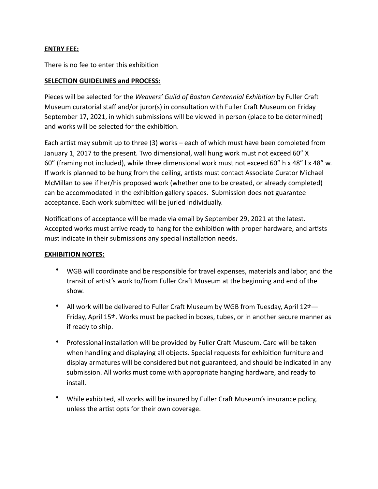#### **ENTRY FEE:**

There is no fee to enter this exhibition

#### **SELECTION GUIDELINES and PROCESS:**

Pieces will be selected for the *Weavers' Guild of Boston Centennial Exhibition* by Fuller Craft Museum curatorial staff and/or juror(s) in consultation with Fuller Craft Museum on Friday September 17, 2021, in which submissions will be viewed in person (place to be determined) and works will be selected for the exhibition.

Each artist may submit up to three  $(3)$  works – each of which must have been completed from January 1, 2017 to the present. Two dimensional, wall hung work must not exceed 60" X 60" (framing not included), while three dimensional work must not exceed 60" h x 48" l x 48" w. If work is planned to be hung from the ceiling, artists must contact Associate Curator Michael McMillan to see if her/his proposed work (whether one to be created, or already completed) can be accommodated in the exhibition gallery spaces. Submission does not guarantee acceptance. Each work submitted will be juried individually.

Notifications of acceptance will be made via email by September 29, 2021 at the latest. Accepted works must arrive ready to hang for the exhibition with proper hardware, and artists must indicate in their submissions any special installation needs.

#### **EXHIBITION NOTES:**

- WGB will coordinate and be responsible for travel expenses, materials and labor, and the transit of artist's work to/from Fuller Craft Museum at the beginning and end of the show.
- All work will be delivered to Fuller Craft Museum by WGB from Tuesday, April  $12<sup>th</sup>$ Friday, April 15<sup>th</sup>. Works must be packed in boxes, tubes, or in another secure manner as if ready to ship.
- Professional installation will be provided by Fuller Craft Museum. Care will be taken when handling and displaying all objects. Special requests for exhibition furniture and display armatures will be considered but not guaranteed, and should be indicated in any submission. All works must come with appropriate hanging hardware, and ready to install.
- While exhibited, all works will be insured by Fuller Craft Museum's insurance policy, unless the artist opts for their own coverage.